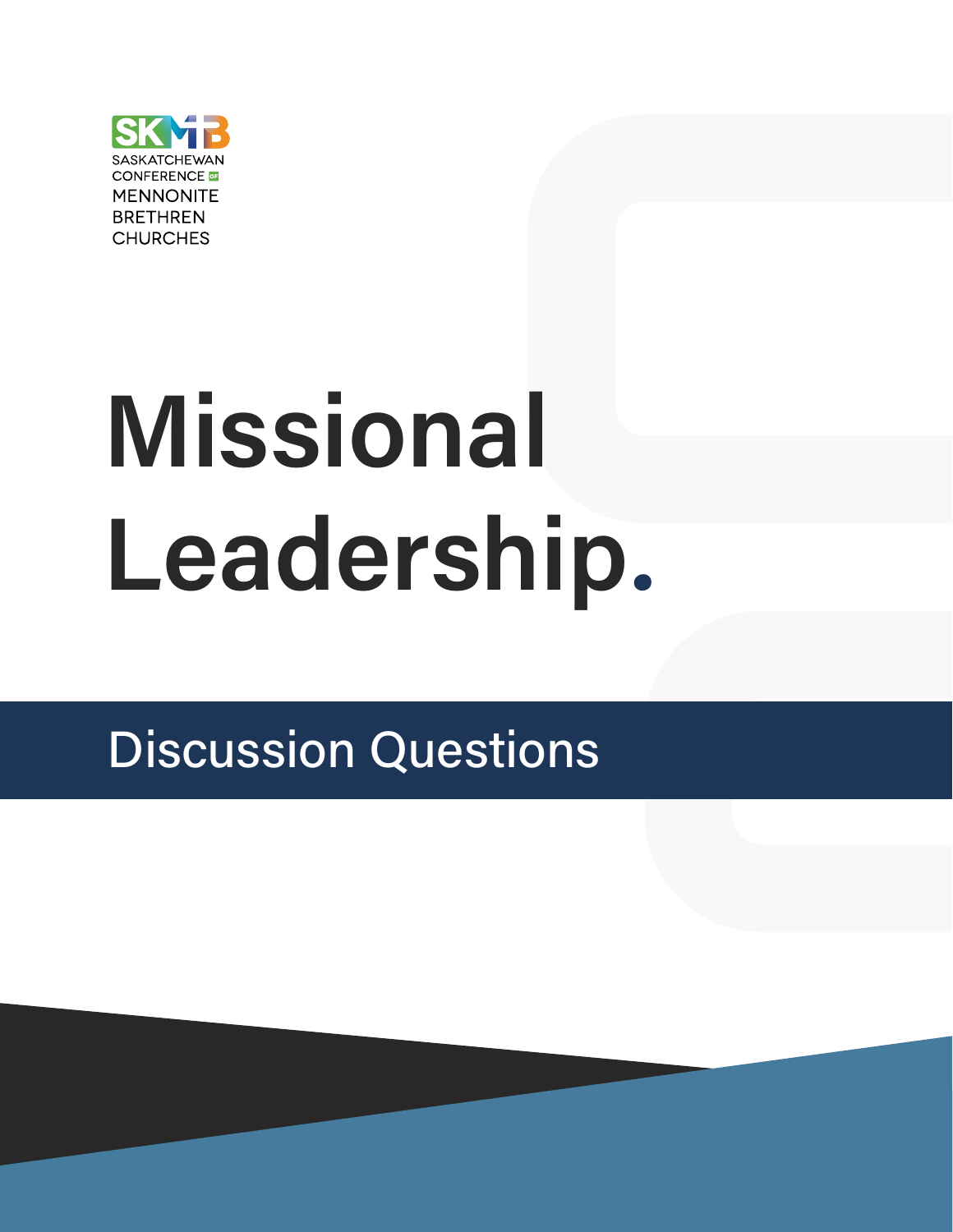

# Missional Leadership**.**

# Discussion Questions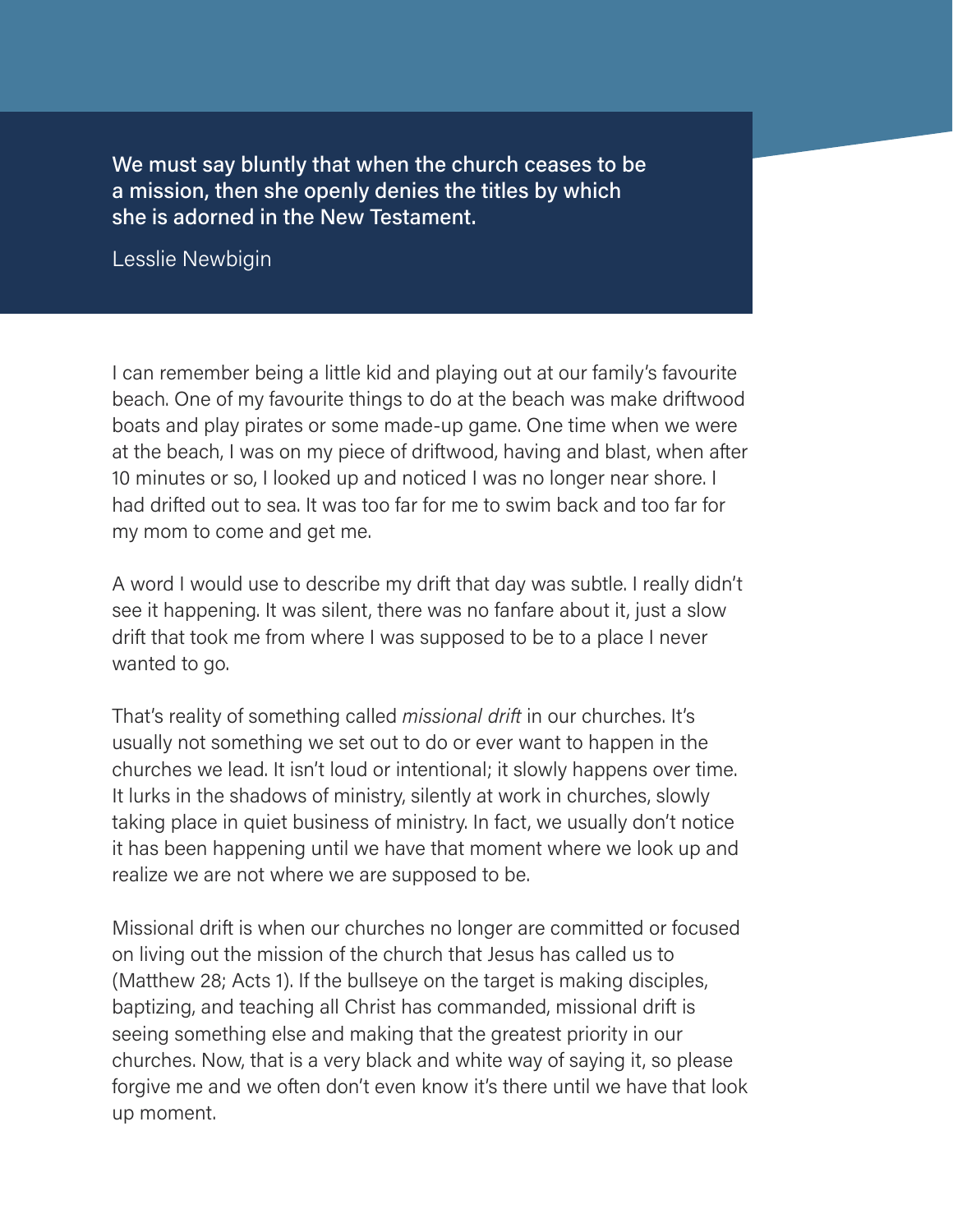We must say bluntly that when the church ceases to be a mission, then she openly denies the titles by which she is adorned in the New Testament.

Lesslie Newbigin

I can remember being a little kid and playing out at our family's favourite beach. One of my favourite things to do at the beach was make driftwood boats and play pirates or some made-up game. One time when we were at the beach, I was on my piece of driftwood, having and blast, when after 10 minutes or so, I looked up and noticed I was no longer near shore. I had drifted out to sea. It was too far for me to swim back and too far for my mom to come and get me.

A word I would use to describe my drift that day was subtle. I really didn't see it happening. It was silent, there was no fanfare about it, just a slow drift that took me from where I was supposed to be to a place I never wanted to go.

That's reality of something called missional drift in our churches. It's usually not something we set out to do or ever want to happen in the churches we lead. It isn't loud or intentional; it slowly happens over time. It lurks in the shadows of ministry, silently at work in churches, slowly taking place in quiet business of ministry. In fact, we usually don't notice it has been happening until we have that moment where we look up and realize we are not where we are supposed to be.

Missional drift is when our churches no longer are committed or focused on living out the mission of the church that Jesus has called us to (Matthew 28; Acts 1). If the bullseye on the target is making disciples, baptizing, and teaching all Christ has commanded, missional drift is seeing something else and making that the greatest priority in our churches. Now, that is a very black and white way of saying it, so please forgive me and we often don't even know it's there until we have that look up moment.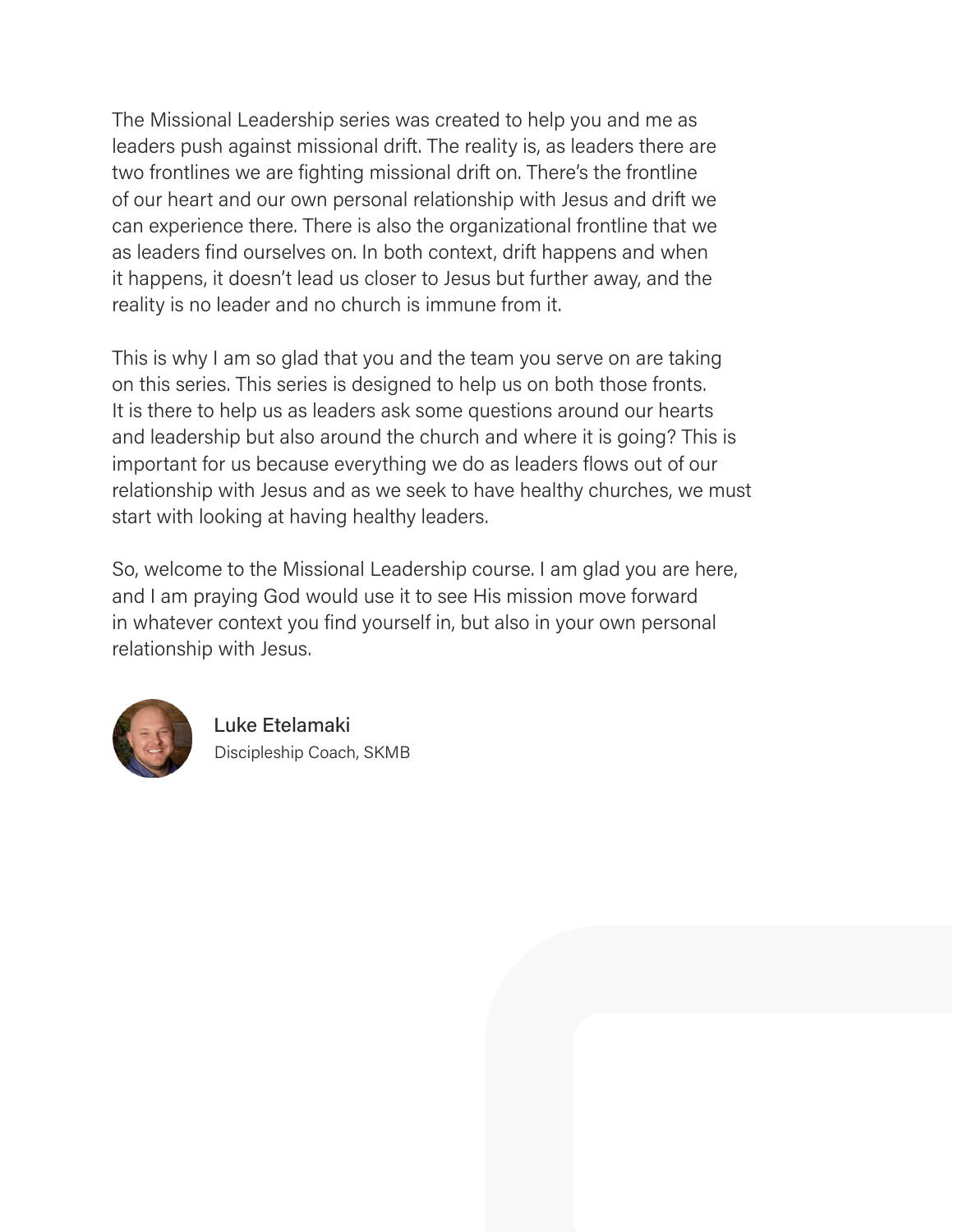The Missional Leadership series was created to help you and me as leaders push against missional drift. The reality is, as leaders there are two frontlines we are fighting missional drift on. There's the frontline of our heart and our own personal relationship with Jesus and drift we can experience there. There is also the organizational frontline that we as leaders find ourselves on. In both context, drift happens and when it happens, it doesn't lead us closer to Jesus but further away, and the reality is no leader and no church is immune from it.

This is why I am so glad that you and the team you serve on are taking on this series. This series is designed to help us on both those fronts. It is there to help us as leaders ask some questions around our hearts and leadership but also around the church and where it is going? This is important for us because everything we do as leaders flows out of our relationship with Jesus and as we seek to have healthy churches, we must start with looking at having healthy leaders.

So, welcome to the Missional Leadership course. I am glad you are here, and I am praying God would use it to see His mission move forward in whatever context you find yourself in, but also in your own personal relationship with Jesus.



 Luke Etelamaki Discipleship Coach, SKMB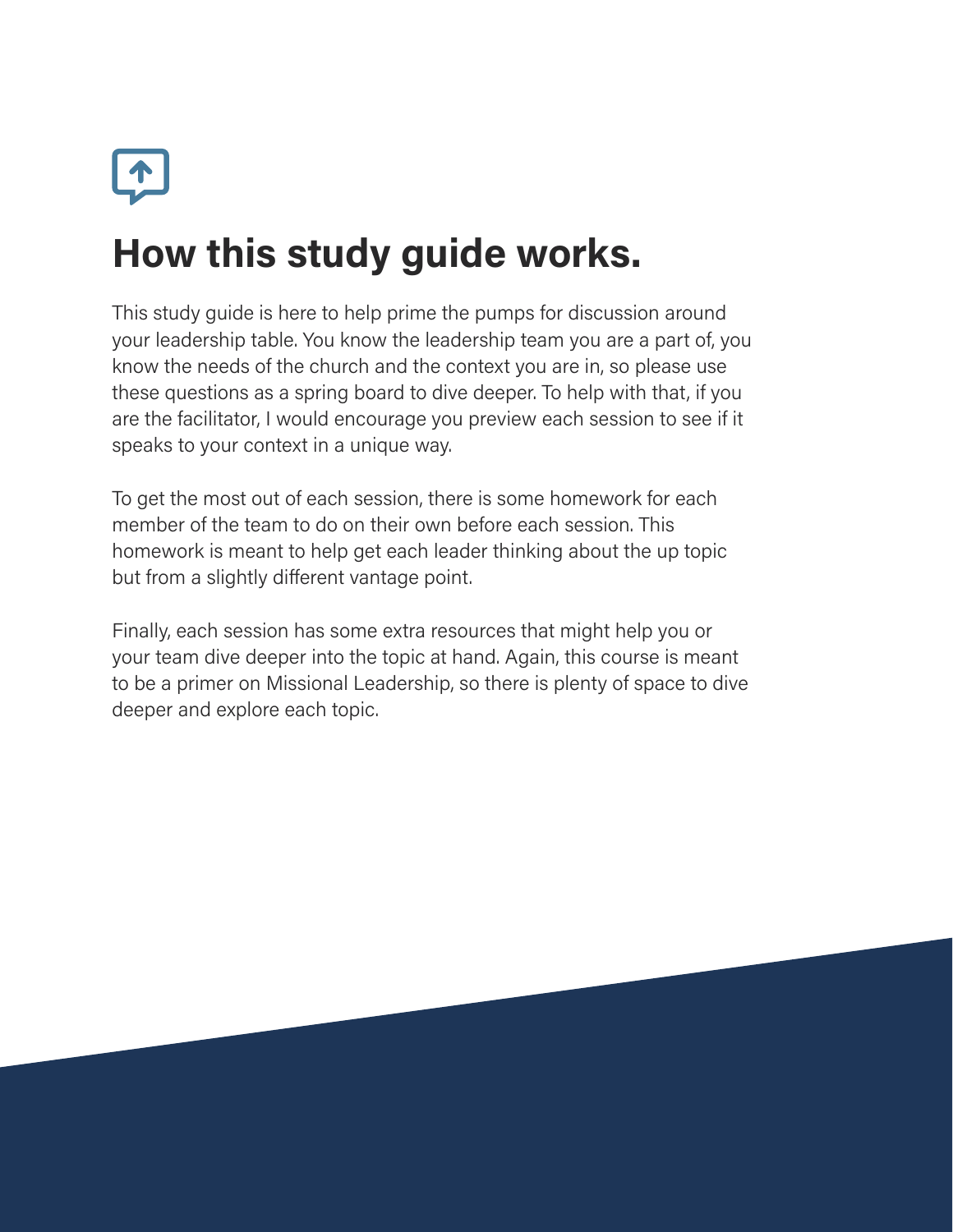

# How this study guide works.

This study guide is here to help prime the pumps for discussion around your leadership table. You know the leadership team you are a part of, you know the needs of the church and the context you are in, so please use these questions as a spring board to dive deeper. To help with that, if you are the facilitator, I would encourage you preview each session to see if it speaks to your context in a unique way.

To get the most out of each session, there is some homework for each member of the team to do on their own before each session. This homework is meant to help get each leader thinking about the up topic but from a slightly different vantage point.

Finally, each session has some extra resources that might help you or your team dive deeper into the topic at hand. Again, this course is meant to be a primer on Missional Leadership, so there is plenty of space to dive deeper and explore each topic.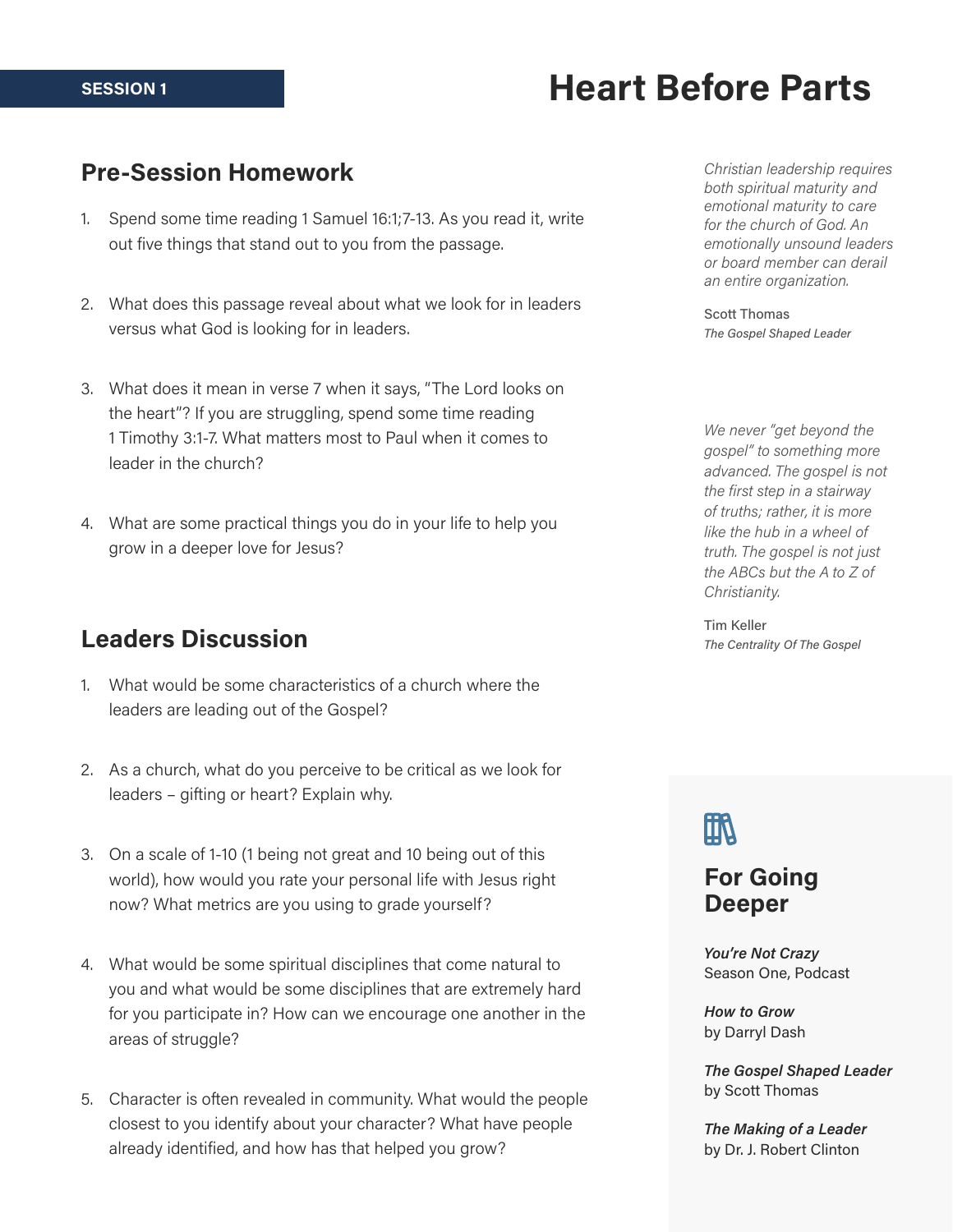#### SESSION 1

### Heart Before Parts

### Pre-Session Homework

- 1. Spend some time reading 1 Samuel 16:1;7-13. As you read it, write out five things that stand out to you from the passage.
- 2. What does this passage reveal about what we look for in leaders versus what God is looking for in leaders.
- 3. What does it mean in verse 7 when it says, "The Lord looks on the heart"? If you are struggling, spend some time reading 1 Timothy 3:1-7. What matters most to Paul when it comes to leader in the church?
- 4. What are some practical things you do in your life to help you grow in a deeper love for Jesus?

### Leaders Discussion

- 1. What would be some characteristics of a church where the leaders are leading out of the Gospel?
- 2. As a church, what do you perceive to be critical as we look for leaders – gifting or heart? Explain why.
- 3. On a scale of 1-10 (1 being not great and 10 being out of this world), how would you rate your personal life with Jesus right now? What metrics are you using to grade yourself?
- 4. What would be some spiritual disciplines that come natural to you and what would be some disciplines that are extremely hard for you participate in? How can we encourage one another in the areas of struggle?
- 5. Character is often revealed in community. What would the people closest to you identify about your character? What have people already identified, and how has that helped you grow?

Christian leadership requires both spiritual maturity and emotional maturity to care for the church of God. An emotionally unsound leaders or board member can derail an entire organization.

Scott Thomas The Gospel Shaped Leader

We never "get beyond the gospel" to something more advanced. The gospel is not the first step in a stairway of truths; rather, it is more like the hub in a wheel of truth. The gospel is not just the ABCs but the A to Z of Christianity.

Tim Keller The Centrality Of The Gospel

# 血

### For Going Deeper

You're Not Crazy Season One, Podcast

How to Grow by Darryl Dash

The Gospel Shaped Leader by Scott Thomas

The Making of a Leader by Dr. J. Robert Clinton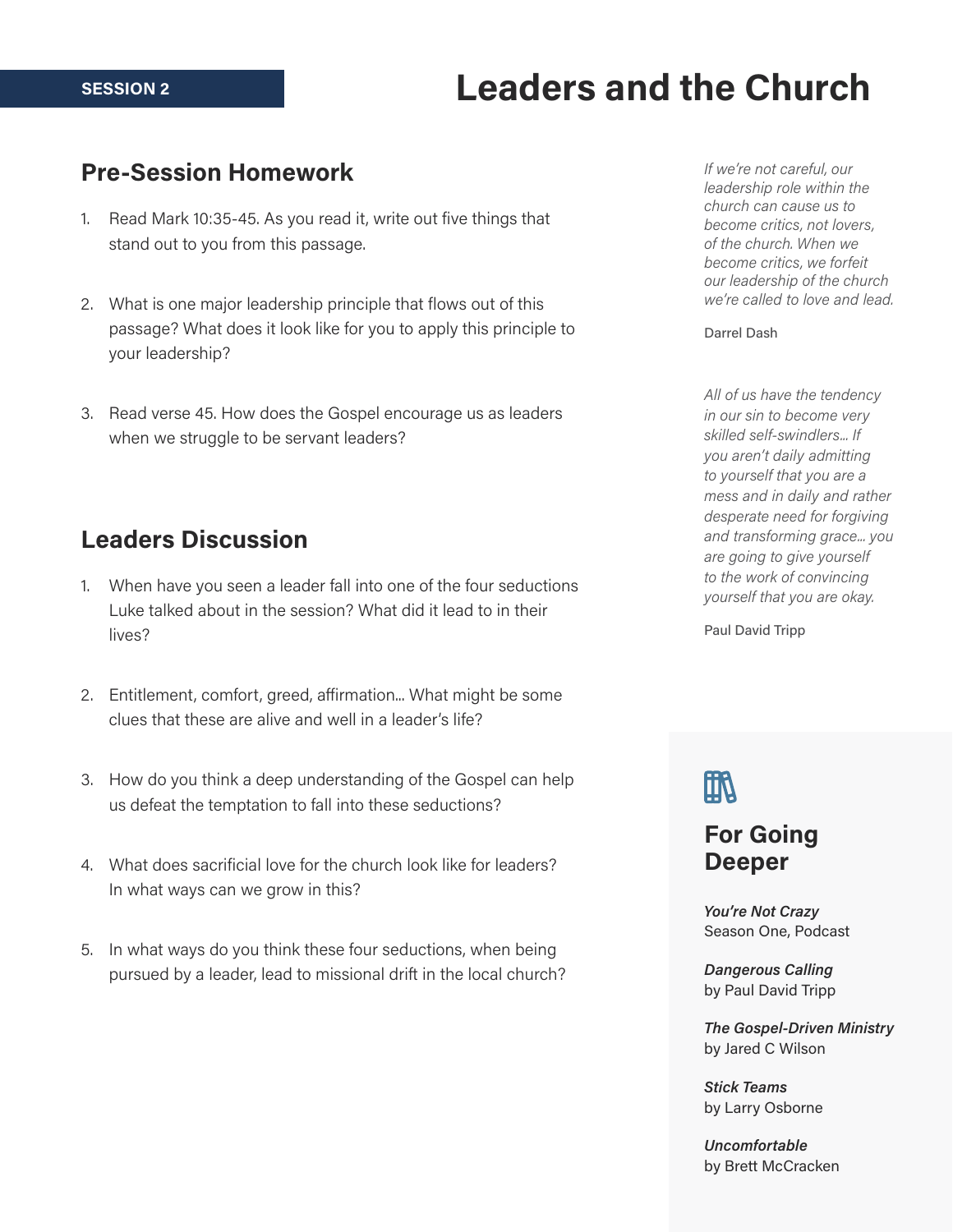#### SESSION 2

### Leaders and the Church

#### Pre-Session Homework

- 1. Read Mark 10:35-45. As you read it, write out five things that stand out to you from this passage.
- 2. What is one major leadership principle that flows out of this passage? What does it look like for you to apply this principle to your leadership?
- 3. Read verse 45. How does the Gospel encourage us as leaders when we struggle to be servant leaders?

### Leaders Discussion

- 1. When have you seen a leader fall into one of the four seductions Luke talked about in the session? What did it lead to in their lives?
- 2. Entitlement, comfort, greed, affirmation... What might be some clues that these are alive and well in a leader's life?
- 3. How do you think a deep understanding of the Gospel can help us defeat the temptation to fall into these seductions?
- 4. What does sacrificial love for the church look like for leaders? In what ways can we grow in this?
- 5. In what ways do you think these four seductions, when being pursued by a leader, lead to missional drift in the local church?

If we're not careful, our leadership role within the church can cause us to become critics, not lovers, of the church. When we become critics, we forfeit our leadership of the church we're called to love and lead.

#### Darrel Dash

All of us have the tendency in our sin to become very skilled self-swindlers... If you aren't daily admitting to yourself that you are a mess and in daily and rather desperate need for forgiving and transforming grace... you are going to give yourself to the work of convincing yourself that you are okay.

Paul David Tripp

# 凧

### For Going Deeper

You're Not Crazy Season One, Podcast

Dangerous Calling by Paul David Tripp

The Gospel-Driven Ministry by Jared C Wilson

Stick Teams by Larry Osborne

Uncomfortable by Brett McCracken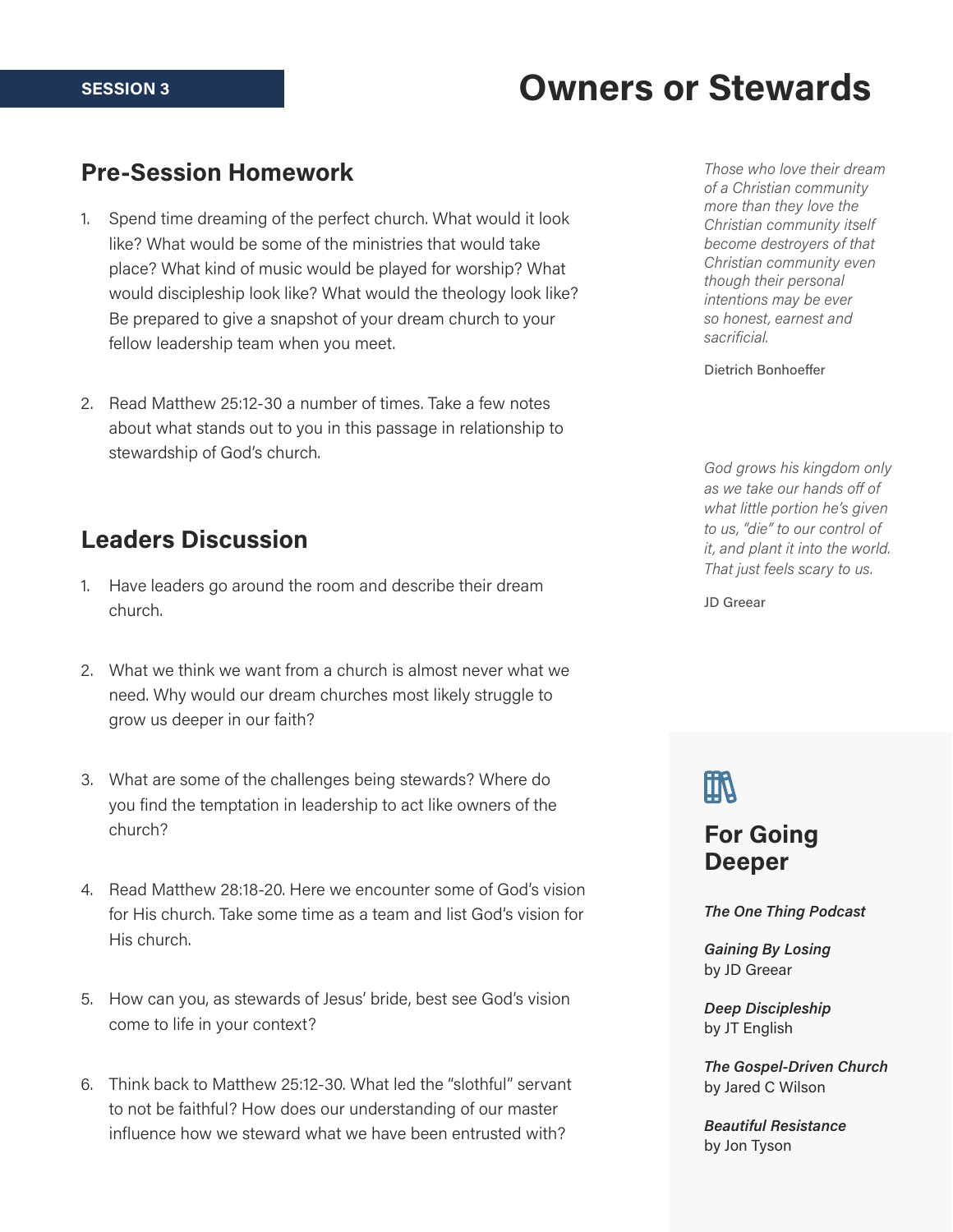### Owners or Stewards

### Pre-Session Homework

- 1. Spend time dreaming of the perfect church. What would it look like? What would be some of the ministries that would take place? What kind of music would be played for worship? What would discipleship look like? What would the theology look like? Be prepared to give a snapshot of your dream church to your fellow leadership team when you meet.
- 2. Read Matthew 25:12-30 a number of times. Take a few notes about what stands out to you in this passage in relationship to stewardship of God's church.

### Leaders Discussion

- 1. Have leaders go around the room and describe their dream church.
- 2. What we think we want from a church is almost never what we need. Why would our dream churches most likely struggle to grow us deeper in our faith?
- 3. What are some of the challenges being stewards? Where do you find the temptation in leadership to act like owners of the church?
- 4. Read Matthew 28:18-20. Here we encounter some of God's vision for His church. Take some time as a team and list God's vision for His church.
- 5. How can you, as stewards of Jesus' bride, best see God's vision come to life in your context?
- 6. Think back to Matthew 25:12-30. What led the "slothful" servant to not be faithful? How does our understanding of our master influence how we steward what we have been entrusted with?

Those who love their dream of a Christian community more than they love the Christian community itself become destroyers of that Christian community even though their personal intentions may be ever so honest, earnest and sacrificial.

Dietrich Bonhoeffer

God grows his kingdom only as we take our hands off of what little portion he's given to us, "die" to our control of it, and plant it into the world. That just feels scary to us.

JD Greear

# 凧

### For Going Deeper

The One Thing Podcast

Gaining By Losing by JD Greear

Deep Discipleship by JT English

The Gospel-Driven Church by Jared C Wilson

Beautiful Resistance by Jon Tyson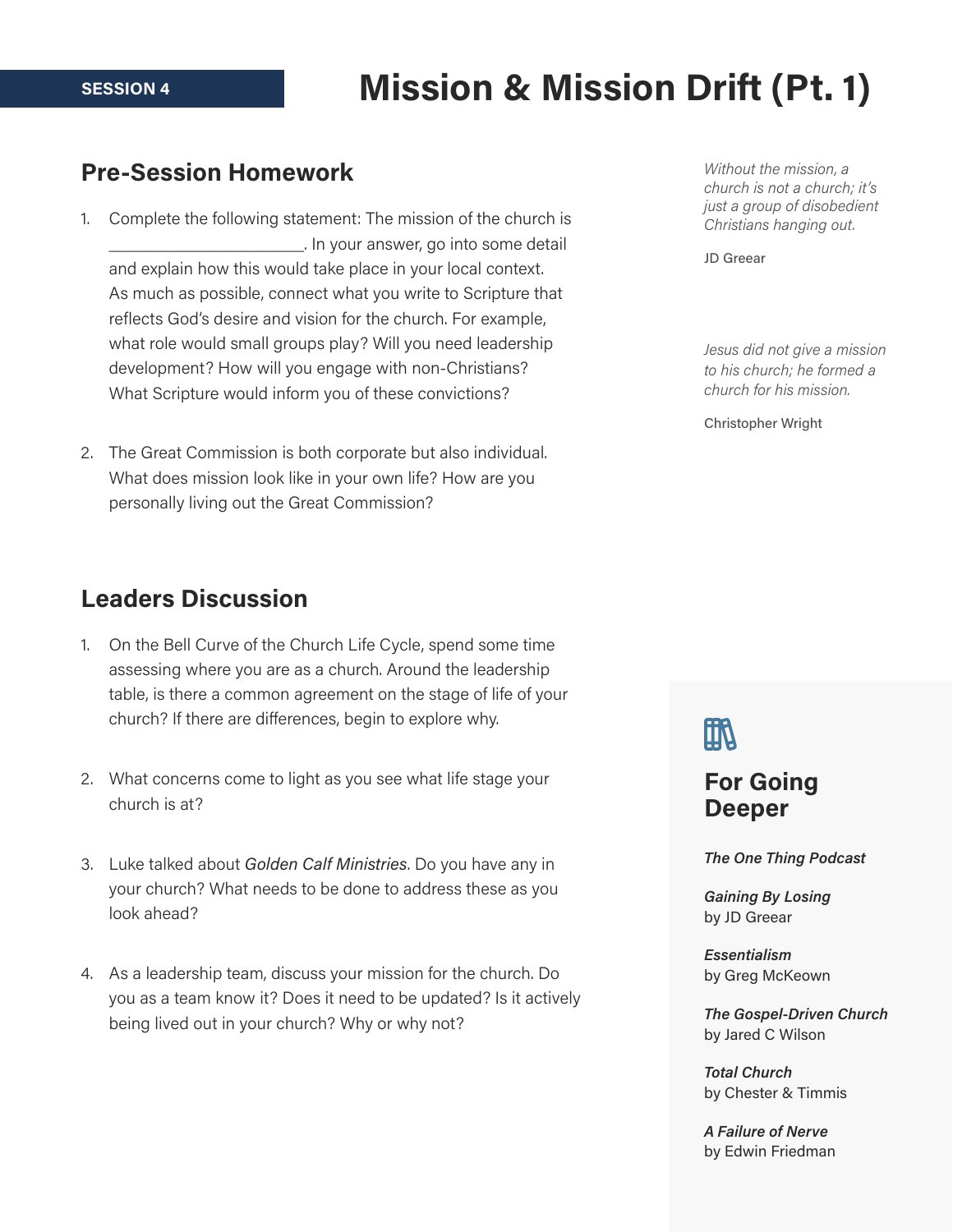# Mission & Mission Drift (Pt. 1)

### Pre-Session Homework

- 1. Complete the following statement: The mission of the church is \_\_\_\_\_\_\_\_\_\_\_\_\_\_\_\_\_\_\_\_\_\_\_\_\_. In your answer, go into some detail and explain how this would take place in your local context. As much as possible, connect what you write to Scripture that reflects God's desire and vision for the church. For example, what role would small groups play? Will you need leadership development? How will you engage with non-Christians? What Scripture would inform you of these convictions?
- 2. The Great Commission is both corporate but also individual. What does mission look like in your own life? How are you personally living out the Great Commission?

### Leaders Discussion

- 1. On the Bell Curve of the Church Life Cycle, spend some time assessing where you are as a church. Around the leadership table, is there a common agreement on the stage of life of your church? If there are differences, begin to explore why.
- 2. What concerns come to light as you see what life stage your church is at?
- 3. Luke talked about Golden Calf Ministries. Do you have any in your church? What needs to be done to address these as you look ahead?
- 4. As a leadership team, discuss your mission for the church. Do you as a team know it? Does it need to be updated? Is it actively being lived out in your church? Why or why not?

Without the mission, a church is not a church; it's just a group of disobedient Christians hanging out.

JD Greear

Jesus did not give a mission to his church; he formed a church for his mission.

Christopher Wright

# 血

### For Going Deeper

The One Thing Podcast

Gaining By Losing by JD Greear

Essentialism by Greg McKeown

The Gospel-Driven Church by Jared C Wilson

Total Church by Chester & Timmis

A Failure of Nerve by Edwin Friedman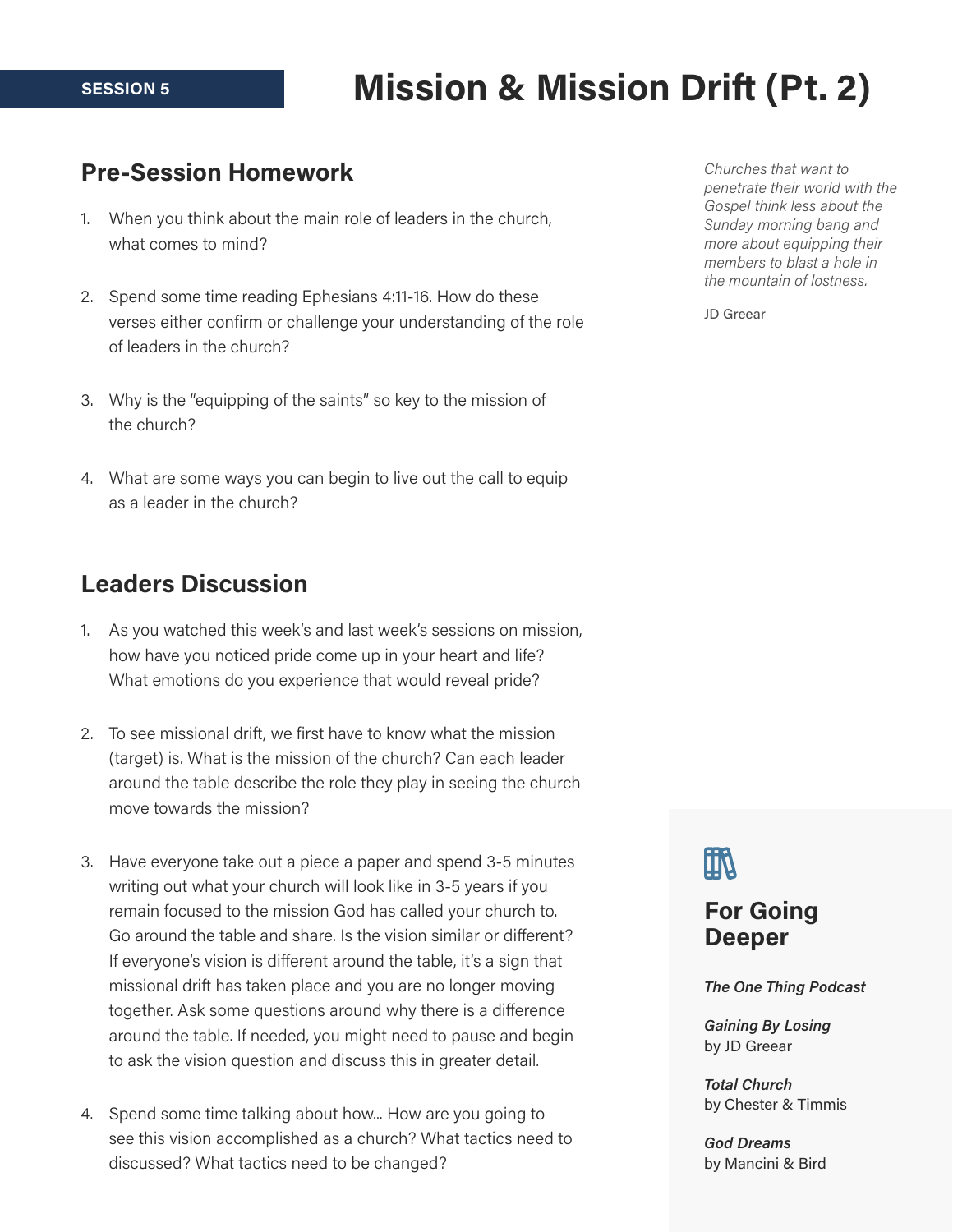# Mission & Mission Drift (Pt. 2)

### Pre-Session Homework

- 1. When you think about the main role of leaders in the church, what comes to mind?
- 2. Spend some time reading Ephesians 4:11-16. How do these verses either confirm or challenge your understanding of the role of leaders in the church?
- 3. Why is the "equipping of the saints" so key to the mission of the church?
- 4. What are some ways you can begin to live out the call to equip as a leader in the church?

### Leaders Discussion

- 1. As you watched this week's and last week's sessions on mission, how have you noticed pride come up in your heart and life? What emotions do you experience that would reveal pride?
- 2. To see missional drift, we first have to know what the mission (target) is. What is the mission of the church? Can each leader around the table describe the role they play in seeing the church move towards the mission?
- 3. Have everyone take out a piece a paper and spend 3-5 minutes writing out what your church will look like in 3-5 years if you remain focused to the mission God has called your church to. Go around the table and share. Is the vision similar or different? If everyone's vision is different around the table, it's a sign that missional drift has taken place and you are no longer moving together. Ask some questions around why there is a difference around the table. If needed, you might need to pause and begin to ask the vision question and discuss this in greater detail.
- 4. Spend some time talking about how... How are you going to see this vision accomplished as a church? What tactics need to discussed? What tactics need to be changed?

Churches that want to penetrate their world with the Gospel think less about the Sunday morning bang and more about equipping their members to blast a hole in the mountain of lostness.

JD Greear

## 血

### For Going Deeper

The One Thing Podcast

Gaining By Losing by JD Greear

Total Church by Chester & Timmis

God Dreams by Mancini & Bird